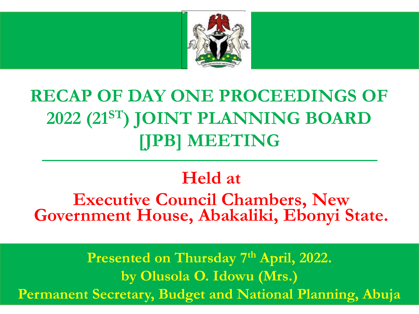

## **RECAP OF DAY ONE PROCEEDINGS OF 2022 (21ST) JOINT PLANNING BOARD [JPB] MEETING**

## **Held at**

**Executive Council Chambers, New Government House, Abakaliki, Ebonyi State.**

**Presented on Thursday 7th April, 2022. by Olusola O. Idowu (Mrs.) Permanent Secretary, Budget and National Planning, Abuja**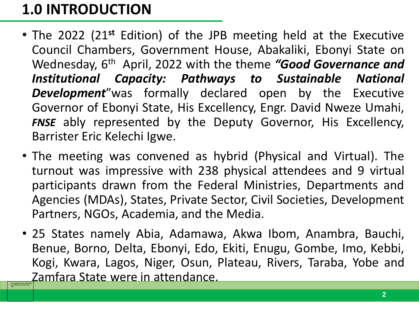## **1.0 INTRODUCTION**

- The 2022 (21**st** Edition) of the JPB meeting held at the Executive Council Chambers, Government House, Abakaliki, Ebonyi State on Wednesday, 6<sup>th</sup> April, 2022 with the theme "Good Governance and *Institutional Capacity: Pathways to Sustainable National Development*"was formally declared open by the Executive Governor of Ebonyi State, His Excellency, Engr. David Nweze Umahi, *FNSE* ably represented by the Deputy Governor, His Excellency, Barrister Eric Kelechi Igwe.
- The meeting was convened as hybrid (Physical and Virtual). The turnout was impressive with 238 physical attendees and 9 virtual participants drawn from the Federal Ministries, Departments and Agencies (MDAs), States, Private Sector, Civil Societies, Development Partners, NGOs, Academia, and the Media.
- 25 States namely Abia, Adamawa, Akwa Ibom, Anambra, Bauchi, Benue, Borno, Delta, Ebonyi, Edo, Ekiti, Enugu, Gombe, Imo, Kebbi, Kogi, Kwara, Lagos, Niger, Osun, Plateau, Rivers, Taraba, Yobe and Zamfara State were in attendance. The image part with related to relate the relation of the relation of  $\frac{d\mathbf{r}}{dt}$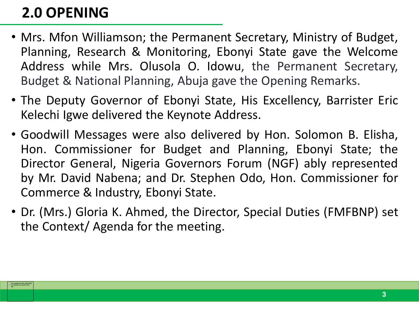## **2.0 OPENING**

 $\begin{array}{c|c}\n\hline\n\mathbf{x}\n\end{array}$  The image part with relation to

- Mrs. Mfon Williamson; the Permanent Secretary, Ministry of Budget, Planning, Research & Monitoring, Ebonyi State gave the Welcome Address while Mrs. Olusola O. Idowu, the Permanent Secretary, Budget & National Planning, Abuja gave the Opening Remarks.
- The Deputy Governor of Ebonyi State, His Excellency, Barrister Eric Kelechi Igwe delivered the Keynote Address.
- Goodwill Messages were also delivered by Hon. Solomon B. Elisha, Hon. Commissioner for Budget and Planning, Ebonyi State; the Director General, Nigeria Governors Forum (NGF) ably represented by Mr. David Nabena; and Dr. Stephen Odo, Hon. Commissioner for Commerce & Industry, Ebonyi State.
- Dr. (Mrs.) Gloria K. Ahmed, the Director, Special Duties (FMFBNP) set the Context/ Agenda for the meeting.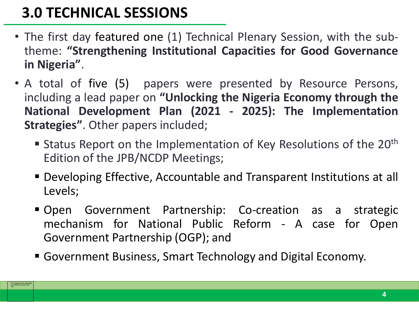## **3.0 TECHNICAL SESSIONS**

 $\begin{array}{c|c}\n\hline\n\mathbf{x}\n\end{array}$  The image part with relation to

- The first day featured one (1) Technical Plenary Session, with the subtheme: **"Strengthening Institutional Capacities for Good Governance in Nigeria"**.
- A total of five (5) papers were presented by Resource Persons, including a lead paper on **"Unlocking the Nigeria Economy through the National Development Plan (2021 - 2025): The Implementation Strategies"**. Other papers included;
	- Status Report on the Implementation of Key Resolutions of the  $20<sup>th</sup>$ Edition of the JPB/NCDP Meetings;
	- Developing Effective, Accountable and Transparent Institutions at all Levels;
	- Open Government Partnership: Co-creation as a strategic mechanism for National Public Reform - A case for Open Government Partnership (OGP); and
	- Government Business, Smart Technology and Digital Economy.

**4**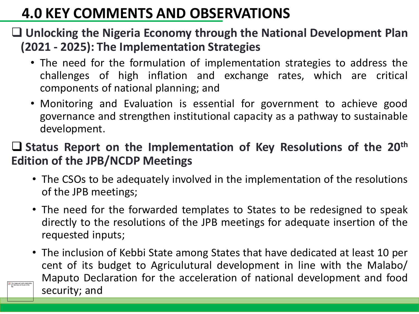## **4.0 KEY COMMENTS AND OBSERVATIONS**

#### **Unlocking the Nigeria Economy through the National Development Plan (2021 - 2025): The Implementation Strategies**

- The need for the formulation of implementation strategies to address the challenges of high inflation and exchange rates, which are critical components of national planning; and
- Monitoring and Evaluation is essential for government to achieve good governance and strengthen institutional capacity as a pathway to sustainable development.

#### **Status Report on the Implementation of Key Resolutions of the 20th Edition of the JPB/NCDP Meetings**

- The CSOs to be adequately involved in the implementation of the resolutions of the JPB meetings;
- The need for the forwarded templates to States to be redesigned to speak directly to the resolutions of the JPB meetings for adequate insertion of the requested inputs;
- The inclusion of Kebbi State among States that have dedicated at least 10 per cent of its budget to Agriculutural development in line with the Malabo/ Maputo Declaration for the acceleration of national development and food security; and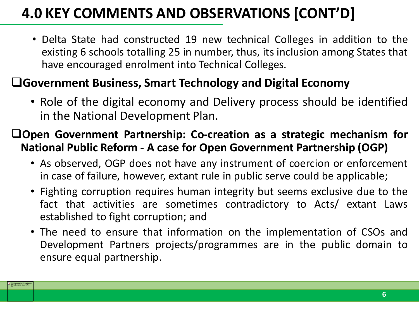## **4.0 KEY COMMENTS AND OBSERVATIONS [CONT'D]**

• Delta State had constructed 19 new technical Colleges in addition to the existing 6 schools totalling 25 in number, thus, its inclusion among States that have encouraged enrolment into Technical Colleges.

#### **Government Business, Smart Technology and Digital Economy**

The image part with relation ID rid2 was not found in the

• Role of the digital economy and Delivery process should be identified in the National Development Plan.

#### **Open Government Partnership: Co-creation as a strategic mechanism for National Public Reform - A case for Open Government Partnership (OGP)**

- As observed, OGP does not have any instrument of coercion or enforcement in case of failure, however, extant rule in public serve could be applicable;
- Fighting corruption requires human integrity but seems exclusive due to the fact that activities are sometimes contradictory to Acts/ extant Laws established to fight corruption; and
- The need to ensure that information on the implementation of CSOs and Development Partners projects/programmes are in the public domain to ensure equal partnership.

**6**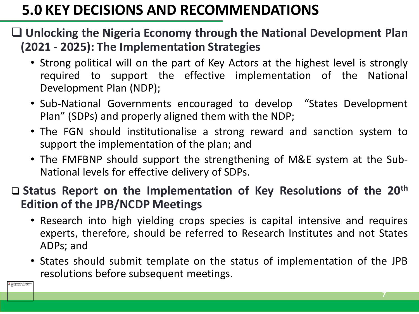## **5.0 KEY DECISIONS AND RECOMMENDATIONS**

#### **Unlocking the Nigeria Economy through the National Development Plan (2021 - 2025): The Implementation Strategies**

- Strong political will on the part of Key Actors at the highest level is strongly required to support the effective implementation of the National Development Plan (NDP);
- Sub-National Governments encouraged to develop "States Development Plan" (SDPs) and properly aligned them with the NDP;
- The FGN should institutionalise a strong reward and sanction system to support the implementation of the plan; and
- The FMFBNP should support the strengthening of M&E system at the Sub-National levels for effective delivery of SDPs.

#### **Status Report on the Implementation of Key Resolutions of the 20th Edition of the JPB/NCDP Meetings**

- Research into high yielding crops species is capital intensive and requires experts, therefore, should be referred to Research Institutes and not States ADPs; and
- States should submit template on the status of implementation of the JPB resolutions before subsequent meetings.

 $\boxed{\mathbf{x}}$  The image part with relations<br>ID r1d2 was not found in the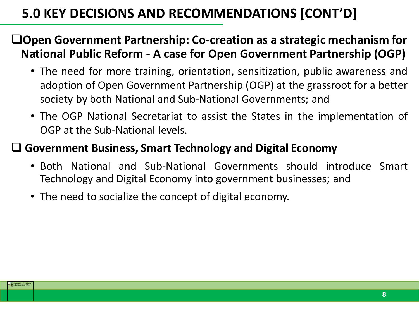### **5.0 KEY DECISIONS AND RECOMMENDATIONS [CONT'D]**

#### **Open Government Partnership: Co-creation as a strategic mechanism for National Public Reform - A case for Open Government Partnership (OGP)**

- The need for more training, orientation, sensitization, public awareness and adoption of Open Government Partnership (OGP) at the grassroot for a better society by both National and Sub-National Governments; and
- The OGP National Secretariat to assist the States in the implementation of OGP at the Sub-National levels.

#### **Government Business, Smart Technology and Digital Economy**

- Both National and Sub-National Governments should introduce Smart Technology and Digital Economy into government businesses; and
- The need to socialize the concept of digital economy.